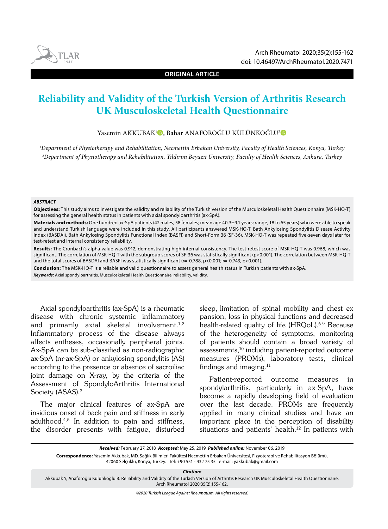

**ORIGINAL ARTICLE**

# **Reliability and Validity of the Turkish Version of Arthritis Research UK Musculoskeletal Health Questionnaire**

Yasemin AKKUBAK<sup>ı</sup> (, Bahar ANAFOROĞLU KÜLÜNKOĞLU<sup>2</sup>

*1 Department of Physiotherapy and Rehabilitation, Necmettin Erbakan University, Faculty of Health Sciences, Konya, Turkey 2 Department of Physiotherapy and Rehabilitation, Yıldırım Beyazıt University, Faculty of Health Sciences, Ankara, Turkey*

#### *ABSTRACT*

**Objectives:** This study aims to investigate the validity and reliability of the Turkish version of the Musculoskeletal Health Questionnaire (MSK-HQ-T) for assessing the general health status in patients with axial spondyloarthritis (ax-SpA).

**Materials and methods:** One hundred ax-SpA patients (42 males, 58 females; mean age 40.3±9.1 years; range, 18 to 65 years) who were able to speak and understand Turkish language were included in this study. All participants answered MSK-HQ-T, Bath Ankylosing Spondylitis Disease Activity Index (BASDAI), Bath Ankylosing Spondylitis Functional Index (BASFI) and Short-Form 36 (SF-36). MSK-HQ-T was repeated five-seven days later for test-retest and internal consistency reliability.

**Results:** The Cronbach's alpha value was 0.912, demonstrating high internal consistency. The test-retest score of MSK-HQ-T was 0.968, which was significant. The correlation of MSK-HQ-T with the subgroup scores of SF-36 was statistically significant (p<0.001). The correlation between MSK-HQ-T and the total scores of BASDAI and BASFI was statistically significant (r=-0.788, p<0.001; r=-0.743, p<0.001).

**Conclusion:** The MSK-HQ-T is a reliable and valid questionnaire to assess general health status in Turkish patients with ax-SpA.

*Keywords:* Axial spondyloarthritis, Musculoskeletal Health Questionnaire, reliability, validity.

Axial spondyloarthritis (ax-SpA) is a rheumatic disease with chronic systemic inflammatory and primarily axial skeletal involvement.<sup>1,2</sup> Inflammatory process of the disease always affects entheses, occasionally peripheral joints. Ax-SpA can be sub-classified as non-radiographic ax-SpA (nr-ax-SpA) or ankylosing spondylitis (AS) according to the presence or absence of sacroiliac joint damage on X-ray, by the criteria of the Assessment of SpondyloArthritis International Society (ASAS).<sup>3</sup>

The major clinical features of ax-SpA are insidious onset of back pain and stiffness in early adulthood.4,5 In addition to pain and stiffness, the disorder presents with fatigue, disturbed sleep, limitation of spinal mobility and chest ex pansion, loss in physical functions and decreased health-related quality of life (HRQoL).<sup>6-9</sup> Because of the heterogeneity of symptoms, monitoring of patients should contain a broad variety of assessments,<sup>10</sup> including patient-reported outcome measures (PROMs), laboratory tests, clinical findings and imaging. $11$ 

Patient-reported outcome measures in spondylarthritis, particularly in ax-SpA, have become a rapidly developing field of evaluation over the last decade. PROMs are frequently applied in many clinical studies and have an important place in the perception of disability situations and patients' health.<sup>12</sup> In patients with

*Received:* February 27, 2018 *Accepted:* May 25, 2019 *Published online:* November 06, 2019

**Correspondence:** Yasemin Akkubak, MD. Sağlık Bilimleri Fakültesi Necmettin Erbakan Üniversitesi, Fizyoterapi ve Rehabilitasyon Bölümü,

42060 Selçuklu, Konya, Turkey. Tel: +90 551 - 432 75 35 e-mail: yakkubak@gmail.com

*Citation:*

Akkubak Y, Anaforoğlu Külünkoğlu B. Reliability and Validity of the Turkish Version of Arthritis Research UK Musculoskeletal Health Questionnaire. Arch Rheumatol 2020;35(2):155-162.

*©2020 Turkish League Against Rheumatism. All rights reserved.*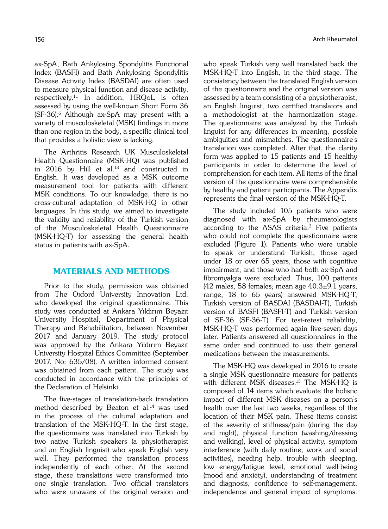ax-SpA, Bath Ankylosing Spondylitis Functional Index (BASFI) and Bath Ankylosing Spondylitis Disease Activity Index (BASDAI) are often used to measure physical function and disease activity, respectively.11 In addition, HRQoL is often assessed by using the well-known Short Form 36 (SF-36).6 Although ax-SpA may present with a variety of musculoskeletal (MSK) findings in more than one region in the body, a specific clinical tool that provides a holistic view is lacking.

The Arthritis Research UK Musculoskeletal Health Questionnaire (MSK-HQ) was published in 2016 by Hill et al. $13$  and constructed in English. It was developed as a MSK outcome measurement tool for patients with different MSK conditions. To our knowledge, there is no cross-cultural adaptation of MSK-HQ in other languages. In this study, we aimed to investigate the validity and reliability of the Turkish version of the Musculoskeletal Health Questionnaire (MSK-HQ-T) for assessing the general health status in patients with ax-SpA.

## MATERIALS AND METHODS

Prior to the study, permission was obtained from The Oxford University Innovation Ltd. who developed the original questionnaire. This study was conducted at Ankara Yıldırım Beyazıt University Hospital, Department of Physical Therapy and Rehabilitation, between November 2017 and January 2019. The study protocol was approved by the Ankara Yıldırım Beyazıt University Hospital Ethics Committee (September 2017, No: 635/08). A written informed consent was obtained from each patient. The study was conducted in accordance with the principles of the Declaration of Helsinki.

The five-stages of translation-back translation method described by Beaton et al.<sup>14</sup> was used in the process of the cultural adaptation and translation of the MSK-HQ-T. In the first stage, the questionnaire was translated into Turkish by two native Turkish speakers (a physiotherapist and an English linguist) who speak English very well. They performed the translation process independently of each other. At the second stage, these translations were transformed into one single translation. Two official translators who were unaware of the original version and who speak Turkish very well translated back the MSK-HQ-T into English, in the third stage. The consistency between the translated English version of the questionnaire and the original version was assessed by a team consisting of a physiotherapist, an English linguist, two certified translators and a methodologist at the harmonization stage. The questionnaire was analyzed by the Turkish linguist for any differences in meaning, possible ambiguities and mismatches. The questionnaire's translation was completed. After that, the clarity form was applied to 15 patients and 15 healthy participants in order to determine the level of comprehension for each item. All items of the final version of the questionnaire were comprehensible by healthy and patient participants. The Appendix represents the final version of the MSK-HQ-T.

The study included 105 patients who were diagnosed with ax-SpA by rheumatologists according to the ASAS criteria.3 Five patients who could not complete the questionnaire were excluded (Figure 1). Patients who were unable to speak or understand Turkish, those aged under 18 or over 65 years, those with cognitive impairment, and those who had both ax-SpA and fibromyalgia were excluded. Thus, 100 patients (42 males, 58 females; mean age  $40.3\pm9.1$  years; range, 18 to 65 years) answered MSK-HQ-T, Turkish version of BASDAI (BASDAI-T), Turkish version of BASFI (BASFI-T) and Turkish version of SF-36 (SF-36-T). For test-retest reliability, MSK-HQ-T was performed again five-seven days later. Patients answered all questionnaires in the same order and continued to use their general medications between the measurements.

The MSK-HQ was developed in 2016 to create a single MSK questionnaire measure for patients with different MSK diseases.<sup>13</sup> The MSK-HQ is composed of 14 items which evaluate the holistic impact of different MSK diseases on a person's health over the last two weeks, regardless of the location of their MSK pain. These items consist of the severity of stiffness/pain (during the day and night), physical function (washing/dressing and walking), level of physical activity, symptom interference (with daily routine, work and social activities), needing help, trouble with sleeping, low energy/fatigue level, emotional well-being (mood and anxiety), understanding of treatment and diagnosis, confidence to self-management, independence and general impact of symptoms.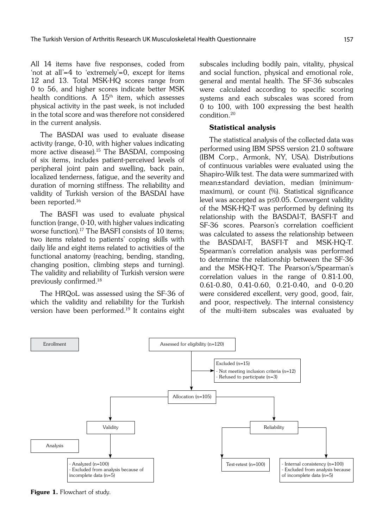All 14 items have five responses, coded from 'not at all'=4 to 'extremely'=0, except for items 12 and 13. Total MSK-HQ scores range from 0 to 56, and higher scores indicate better MSK health conditions. A  $15<sup>th</sup>$  item, which assesses physical activity in the past week, is not included in the total score and was therefore not considered in the current analysis.

The BASDAI was used to evaluate disease activity (range, 0-10, with higher values indicating more active disease).15 The BASDAI, composing of six items, includes patient-perceived levels of peripheral joint pain and swelling, back pain, localized tenderness, fatigue, and the severity and duration of morning stiffness. The reliability and validity of Turkish version of the BASDAI have been reported.<sup>16</sup>

The BASFI was used to evaluate physical function (range, 0-10, with higher values indicating worse function).<sup>17</sup> The BASFI consists of 10 items; two items related to patients' coping skills with daily life and eight items related to activities of the functional anatomy (reaching, bending, standing, changing position, climbing steps and turning). The validity and reliability of Turkish version were previously confirmed.18

The HRQoL was assessed using the SF-36 of which the validity and reliability for the Turkish version have been performed.19 It contains eight subscales including bodily pain, vitality, physical and social function, physical and emotional role, general and mental health. The SF-36 subscales were calculated according to specific scoring systems and each subscales was scored from 0 to 100, with 100 expressing the best health condition.20

## Statistical analysis

The statistical analysis of the collected data was performed using IBM SPSS version 21.0 software (IBM Corp., Armonk, NY, USA). Distributions of continuous variables were evaluated using the Shapiro-Wilk test. The data were summarized with mean±standard deviation, median (minimummaximum), or count (%). Statistical significance level was accepted as p≤0.05. Convergent validity of the MSK-HQ-T was performed by defining its relationship with the BASDAI-T, BASFI-T and SF-36 scores. Pearson's correlation coefficient was calculated to assess the relationship between the BASDAI-T, BASFI-T and MSK-HQ-T. Spearman's correlation analysis was performed to determine the relationship between the SF-36 and the MSK-HQ-T. The Pearson's/Spearman's correlation values in the range of 0.81-1.00, 0.61-0.80, 0.41-0.60, 0.21-0.40, and 0-0.20 were considered excellent, very good, good, fair, and poor, respectively. The internal consistency of the multi-item subscales was evaluated by



Figure 1. Flowchart of study.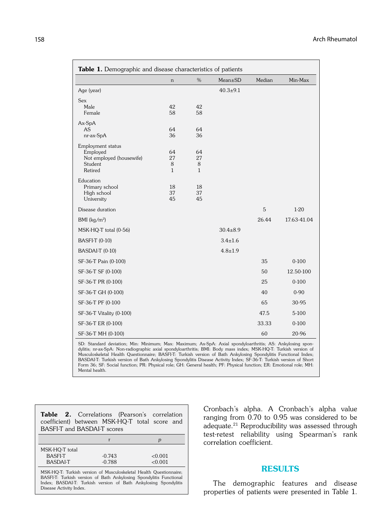|                               | n            | $\%$         | Mean±SD        | Median | Min-Max     |
|-------------------------------|--------------|--------------|----------------|--------|-------------|
| Age (year)                    |              |              | $40.3 + 9.1$   |        |             |
| <b>Sex</b>                    |              |              |                |        |             |
| Male<br>Female                | 42<br>58     | 42<br>58     |                |        |             |
| Ax-SpA                        |              |              |                |        |             |
| <b>AS</b>                     | 64           | 64           |                |        |             |
| nr-ax-SpA                     | 36           | 36           |                |        |             |
| Employment status<br>Employed | 64           | 64           |                |        |             |
| Not employed (housewife)      | 27           | 27           |                |        |             |
| Student                       | 8            | $\,8\,$      |                |        |             |
| Retired                       | $\mathbf{1}$ | $\mathbf{1}$ |                |        |             |
| Education<br>Primary school   | 18           | 18           |                |        |             |
| High school                   | 37           | 37           |                |        |             |
| University                    | 45           | 45           |                |        |             |
| Disease duration              |              |              |                | 5      | $1-20$      |
| BMI $(kq/m^2)$                |              |              |                | 26.44  | 17.63-41.04 |
| MSK-HQ-T total (0-56)         |              |              | $30.4 \pm 8.9$ |        |             |
| <b>BASFI-T (0-10)</b>         |              |              | $3.4 \pm 1.6$  |        |             |
| <b>BASDAI-T (0-10)</b>        |              |              | $4.8 \pm 1.9$  |        |             |
| SF-36-T Pain (0-100)          |              |              |                | 35     | $0 - 100$   |
| SF-36-T SF (0-100)            |              |              |                | 50     | 12.50-100   |
| SF-36-T PR (0-100)            |              |              |                | 25     | $0 - 100$   |
| SF-36-T GH (0-100)            |              |              |                | 40     | $0 - 90$    |
| SF-36-T PF (0-100             |              |              |                | 65     | 30-95       |
| SF-36-T Vitality (0-100)      |              |              |                | 47.5   | 5-100       |
| SF-36-T ER (0-100)            |              |              |                | 33.33  | $0 - 100$   |
| SF-36-T MH (0-100)            |              |              |                | 60     | 20-96       |

BASDAI-T: Turkish version of Bath Ankylosing Spondylitis Disease Activity Index; SF-36-T: Turkish version of Short Form 36; SF: Social function; PR: Physical role; GH: General health; PF: Physical function; ER: Emotional role; MH: Mental health.

| Table 2. Correlations (Pearson's correlation<br>coefficient) between MSK-HQ-T total score and<br>BASFI-T and BASDAI-T scores                                                                                                           |          |         |  |  |  |
|----------------------------------------------------------------------------------------------------------------------------------------------------------------------------------------------------------------------------------------|----------|---------|--|--|--|
|                                                                                                                                                                                                                                        |          | p       |  |  |  |
| MSK-HQ-T total                                                                                                                                                                                                                         |          |         |  |  |  |
| <b>BASFI-T</b>                                                                                                                                                                                                                         | $-0.743$ | <0.001  |  |  |  |
| <b>BASDAI-T</b>                                                                                                                                                                                                                        | $-0.788$ | < 0.001 |  |  |  |
| MSK-HQ-T: Turkish version of Musculoskeletal Health Questionnaire;<br>BASFI-T: Turkish version of Bath Ankylosing Spondylitis Functional<br>Index; BASDAI-T: Turkish version of Bath Ankylosing Spondylitis<br>Disease Activity Index. |          |         |  |  |  |

Cronbach's alpha. A Cronbach's alpha value ranging from 0.70 to 0.95 was considered to be adequate.<sup>21</sup> Reproducibility was assessed through test-retest reliability using Spearman's rank correlation coefficient.

# RESULTS

The demographic features and disease properties of patients were presented in Table 1.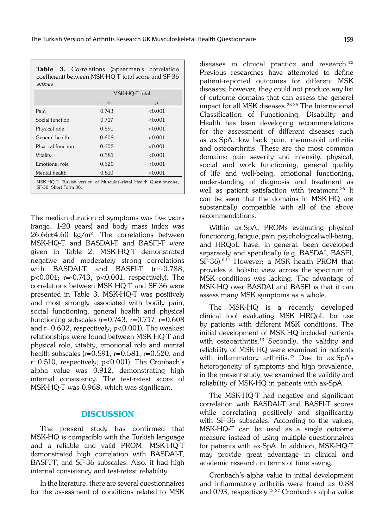| Table 3. Correlations (Spearman's correlation<br>coefficient) between MSK-HQ-T total score and SF-36<br>scores |       |                |  |  |  |
|----------------------------------------------------------------------------------------------------------------|-------|----------------|--|--|--|
|                                                                                                                |       | MSK-HQ-T total |  |  |  |
|                                                                                                                | rs    | р              |  |  |  |
| Pain                                                                                                           | 0.743 | < 0.001        |  |  |  |
| Social function                                                                                                | 0.717 | < 0.001        |  |  |  |
| Physical role                                                                                                  | 0.591 | < 0.001        |  |  |  |
| General health                                                                                                 | 0.608 | < 0.001        |  |  |  |
| Physical function                                                                                              | 0.602 | < 0.001        |  |  |  |
| Vitality                                                                                                       | 0.581 | < 0.001        |  |  |  |
| Emotional role                                                                                                 | 0.520 | < 0.001        |  |  |  |
| Mental health                                                                                                  | 0.510 | ${<}0.001$     |  |  |  |
| MSK-HQ-T: Turkish version of Musculoskeletal Health Questionnaire;<br>SF-36: Short Form 36.                    |       |                |  |  |  |

The median duration of symptoms was five years (range, 1-20 years) and body mass index was  $26.66\pm4.60$  kg/m<sup>2</sup>. The correlations between MSK-HQ-T and BASDAI-T and BASFI-T were given in Table 2. MSK-HQ-T demonstrated negative and moderately strong correlations with BASDAI-T and BASFI-T (r=-0.788, p<0.001; r=-0.743, p<0.001, respectively). The correlations between MSK-HQ-T and SF-36 were presented in Table 3. MSK-HQ-T was positively and most strongly associated with bodily pain, social functioning, general health and physical functioning subscales ( $r=0.743$ ,  $r=0.717$ ,  $r=0.608$ and r=0.602, respectively; p<0.001). The weakest relationships were found between MSK-HQ-T and physical role, vitality, emotional role and mental health subscales ( $r=0.591$ ,  $r=0.581$ ,  $r=0.520$ , and  $r=0.510$ , respectively;  $p<0.001$ ). The Cronbach's alpha value was 0.912, demonstrating high internal consistency. The test-retest score of MSK-HQ-T was 0.968, which was significant.

## **DISCUSSION**

The present study has confirmed that MSK-HQ is compatible with the Turkish language and a reliable and valid PROM. MSK-HQ-T demonstrated high correlation with BASDAI-T, BASFI-T, and SF-36 subscales. Also, it had high internal consistency and test-retest reliability.

In the literature, there are several questionnaires for the assessment of conditions related to MSK diseases in clinical practice and research.<sup>22</sup> Previous researches have attempted to define patient-reported outcomes for different MSK diseases; however, they could not produce any list of outcome domains that can assess the general impact for all MSK diseases.23-25 The International Classification of Functioning, Disability and Health has been developing recommendations for the assessment of different diseases such as ax-SpA, low back pain, rheumatoid arthritis and osteoarthritis. These are the most common domains: pain severity and intensity, physical, social and work functioning, general quality of life and well-being, emotional functioning, understanding of diagnosis and treatment as well as patient satisfaction with treatment.<sup>26</sup> It can be seen that the domains in MSK-HQ are substantially compatible with all of the above recommendations.

Within ax-SpA, PROMs evaluating physical functioning, fatigue, pain, psychological well-being, and HRQoL have, in general, been developed separately and specifically (e.g. BASDAI, BASFI, SF-36).<sup>6,11</sup> However; a MSK health PROM that provides a holistic view across the spectrum of MSK conditions was lacking. The advantage of MSK-HQ over BASDAI and BASFI is that it can assess many MSK symptoms as a whole.

The MSK-HQ is a recently developed clinical tool evaluating MSK HRQoL for use by patients with different MSK conditions. The initial development of MSK-HQ included patients with osteoarthritis.<sup>13</sup> Secondly, the validity and reliability of MSK-HQ were examined in patients with inflammatory arthritis.<sup>27</sup> Due to ax-SpA's heterogeneity of symptoms and high prevalence, in the present study, we examined the validity and reliability of MSK-HQ in patients with ax-SpA.

The MSK-HQ-T had negative and significant correlation with BASDAI-T and BASFI-T scores while correlating positively and significantly with SF-36 subscales. According to the values, MSK-HQ-T can be used as a single outcome measure instead of using multiple questionnaires for patients with ax-SpA. In addition, MSK-HQ-T may provide great advantage in clinical and academic research in terms of time saving.

Cronbach's alpha value in initial development and inflammatory arthritis were found as 0.88 and 0.93, respectively.13,27 Cronbach's alpha value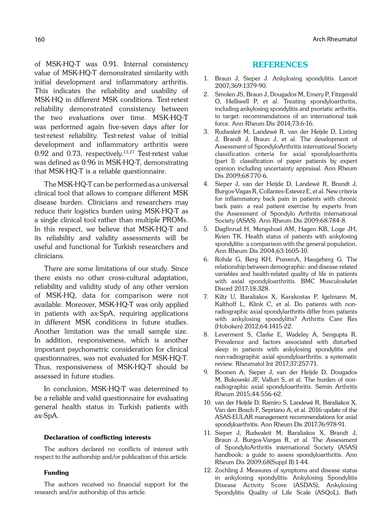of MSK-HQ-T was 0.91. Internal consistency value of MSK-HQ-T demonstrated similarity with initial development and inflammatory arthritis. This indicates the reliability and usability of MSK-HQ in different MSK conditions. Test-retest reliability demonstrated consistency between the two evaluations over time. MSK-HQ-T was performed again five-seven days after for test-retest reliability. Test-retest value of initial development and inflammatory arthritis were 0.92 and 0.73, respectively.13,27 Test-retest value was defined as 0.96 in MSK-HQ-T, demonstrating that MSK-HQ-T is a reliable questionnaire.

The MSK-HQ-T can be performed as a universal clinical tool that allows to compare different MSK disease burden. Clinicians and researchers may reduce their logistics burden using MSK-HQ-T as a single clinical tool rather than multiple PROMs. In this respect, we believe that MSK-HQ-T and its reliability and validity assessments will be useful and functional for Turkish researchers and clinicians.

There are some limitations of our study. Since there exists no other cross-cultural adaptation, reliability and validity study of any other version of MSK-HQ, data for comparison were not available. Moreover, MSK-HQ-T was only applied in patients with ax-SpA, requiring applications in different MSK conditions in future studies. Another limitation was the small sample size. In addition, responsiveness, which is another important psychometric consideration for clinical questionnaires, was not evaluated for MSK-HQ-T. Thus, responsiveness of MSK-HQ-T should be assessed in future studies.

In conclusion, MSK-HQ-T was determined to be a reliable and valid questionnaire for evaluating general health status in Turkish patients with ax-SpA.

## Declaration of conflicting interests

The authors declared no conflicts of interest with respect to the authorship and/or publication of this article.

## Funding

The authors received no financial support for the research and/or authorship of this article.

## REFERENCES

- 1. Braun J, Sieper J. Ankylosing spondylitis. Lancet 2007;369:1379-90.
- 2. Smolen JS, Braun J, Dougados M, Emery P, Fitzgerald O, Helliwell P, et al. Treating spondyloarthritis, including ankylosing spondylitis and psoriatic arthritis, to target: recommendations of an international task force. Ann Rheum Dis 2014;73:6-16.
- 3. Rudwaleit M, Landewé R, van der Heijde D, Listing J, Brandt J, Braun J, et al. The development of Assessment of SpondyloArthritis international Society classification criteria for axial spondyloarthritis (part I): classification of paper patients by expert opinion including uncertainty appraisal. Ann Rheum Dis 2009;68:770-6.
- 4. Sieper J, van der Heijde D, Landewé R, Brandt J, Burgos-Vagas R, Collantes-Estevez E, et al. New criteria for inflammatory back pain in patients with chronic back pain: a real patient exercise by experts from the Assessment of Spondylo Arthritis international Society (ASAS). Ann Rheum Dis 2009;68:784-8.
- 5. Dagfinrud H, Mengshoel AM, Hagen KB, Loge JH, Kvien TK. Health status of patients with ankylosing spondylitis: a comparison with the general population. Ann Rheum Dis 2004;63:1605-10.
- 6. Rohde G, Berg KH, PrøvenA, Haugeberg G. The relationship between demographic- and disease-related variables and health-related quality of life in patients with axial spondyloarthritis. BMC Musculoskelet Disord 2017;18:328.
- 7. Kiltz U, Baraliakos X, Karakostas P, Igelmann M, Kalthoff L, Klink C, et al. Do patients with nonradiographic axial spondylarthritis differ from patients with ankylosing spondylitis? Arthritis Care Res (Hoboken) 2012;64:1415-22.
- 8. Leverment S, Clarke E, Wadeley A, Sengupta R. Prevalence and factors associated with disturbed sleep in patients with ankylosing spondylitis and non-radiographic axial spondyloarthritis: a systematic review. Rheumatol Int 2017;37:257-71.
- 9. Boonen A, Sieper J, van der Heijde D, Dougados M, Bukowski JF, Valluri S, et al. The burden of nonradiographic axial spondyloarthritis. Semin Arthritis Rheum 2015;44:556-62.
- 10. van der Heijde D, Ramiro S, Landewé R, Baraliakos X, Van den Bosch F, Sepriano A, et al. 2016 update of the ASAS-EULAR management recommendations for axial spondyloarthritis. Ann Rheum Dis 2017;76:978-91.
- 11. Sieper J, Rudwaleit M, Baraliakos X, Brandt J, Braun J, Burgos-Vargas R, et al. The Assessment of SpondyloArthritis international Society (ASAS) handbook: a guide to assess spondyloarthritis. Ann Rheum Dis 2009;68(Suppl II):1-44.
- 12. Zochling J. Measures of symptoms and disease status in ankylosing spondylitis: Ankylosing Spondylitis Disease Activity Score (ASDAS), Ankylosing Spondylitis Quality of Life Scale (ASQoL), Bath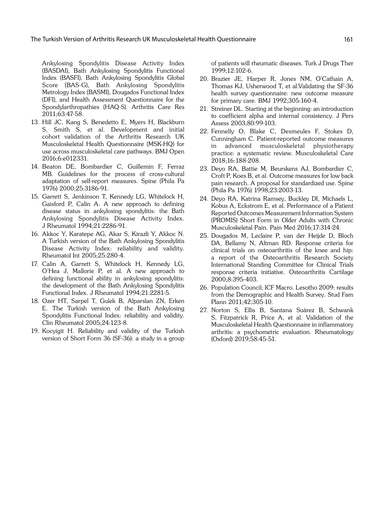Ankylosing Spondylitis Disease Activity Index (BASDAI), Bath Ankylosing Spondylitis Functional Index (BASFI), Bath Ankylosing Spondylitis Global Score (BAS-G), Bath Ankylosing Spondylitis Metrology Index (BASMI), Dougados Functional Index (DFI), and Health Assessment Questionnaire for the Spondylarthropathies (HAQ-S). Arthritis Care Res 2011;63:47-58.

- 13. Hill JC, Kang S, Benedetto E, Myers H, Blackburn S, Smith S, et al. Development and initial cohort validation of the Arthritis Research UK Musculoskeletal Health Questionnaire (MSK-HQ) for use across musculoskeletal care pathways. BMJ Open 2016;6:e012331.
- 14. Beaton DE, Bombardier C, Guillemin F, Ferraz MB. Guidelines for the process of cross-cultural adaptation of self-report measures. Spine (Phila Pa 1976) 2000;25:3186-91.
- 15. Garrett S, Jenkinson T, Kennedy LG, Whitelock H, Gaisford P, Calin A. A new approach to defining disease status in ankylosing spondylitis: the Bath Ankylosing Spondylitis Disease Activity Index. J Rheumatol 1994;21:2286-91.
- 16. Akkoc Y, Karatepe AG, Akar S, Kirazli Y, Akkoc N. A Turkish version of the Bath Ankylosing Spondylitis Disease Activity Index: reliability and validity. Rheumatol Int 2005;25:280-4.
- 17. Calin A, Garrett S, Whitelock H, Kennedy LG, O'Hea J, Mallorie P, et al. A new approach to defining functional ability in ankylosing spondylitis: the development of the Bath Ankylosing Spondylitis Functional Index. J Rheumatol 1994;21:2281-5.
- 18. Ozer HT, Sarpel T, Gulek B, Alparslan ZN, Erken E. The Turkish version of the Bath Ankylosing Spondylitis Functional Index: reliability and validity. Clin Rheumatol 2005;24:123-8.
- 19. Kocyigit H. Reliability and validity of the Turkish version of Short Form 36 (SF-36): a study in a group

of patients will rheumatic diseases. Turk J Drugs Ther 1999;12:102-6.

- 20. Brazier JE, Harper R, Jones NM, O'Cathain A, Thomas KJ, Usherwood T, et al.Validating the SF-36 health survey questionnaire: new outcome measure for primary care. BMJ 1992;305:160-4.
- 21. Streiner DL. Starting at the beginning: an introduction to coefficient alpha and internal consistency. J Pers Assess 2003;80:99-103.
- 22. Fennelly O, Blake C, Desmeules F, Stokes D, Cunningham C. Patient-reported outcome measures in advanced musculoskeletal physiotherapy practice: a systematic review. Musculoskeletal Care 2018;16:188-208.
- 23. Deyo RA, Battie M, Beurskens AJ, Bombardier C, Croft P, Koes B, et al. Outcome measures for low back pain research. A proposal for standardized use. Spine (Phila Pa 1976) 1998;23:2003-13.
- 24. Deyo RA, Katrina Ramsey, Buckley DI, Michaels L, Kobus A, Eckstrom E, et al. Performance of a Patient Reported Outcomes Measurement Information System (PROMIS) Short Form in Older Adults with Chronic Musculoskeletal Pain. Pain Med 2016;17:314-24.
- 25. Dougados M, Leclaire P, van der Heijde D, Bloch DA, Bellamy N, Altman RD. Response criteria for clinical trials on osteoarthritis of the knee and hip: a report of the Osteoarthritis Research Society International Standing Committee for Clinical Trials response criteria initiative. Osteoarthritis Cartilage 2000;8:395-403.
- 26. Population Council; ICF Macro. Lesotho 2009: results from the Demographic and Health Survey. Stud Fam Plann 2011;42:305-10.
- 27. Norton S, Ellis B, Santana Suárez B, Schwank S, Fitzpatrick R, Price A, et al. Validation of the Musculoskeletal Health Questionnaire in inflammatory arthritis: a psychometric evaluation. Rheumatology (Oxford) 2019;58:45-51.